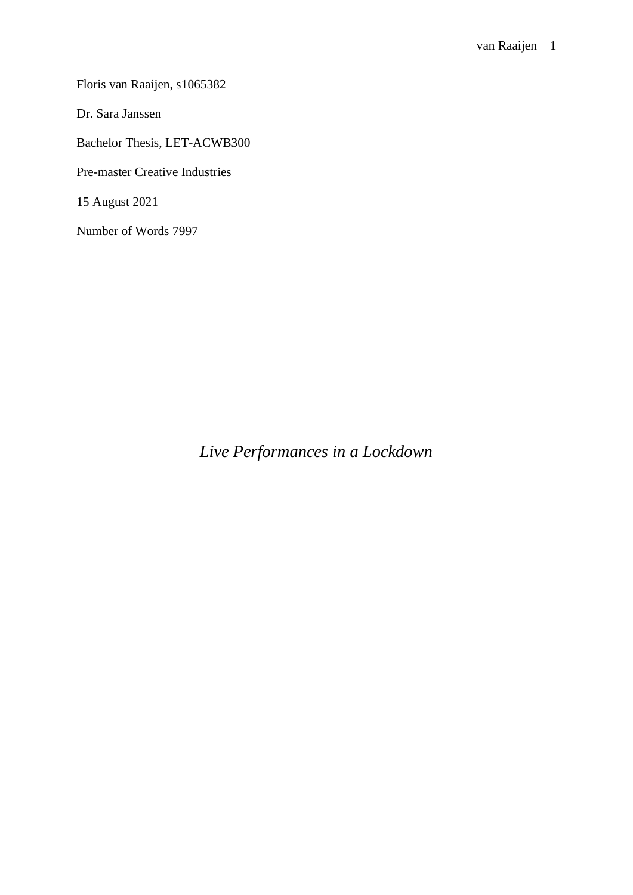Floris van Raaijen, s1065382

Dr. Sara Janssen

Bachelor Thesis, LET-ACWB300

Pre-master Creative Industries

15 August 2021

Number of Words 7997

*Live Performances in a Lockdown*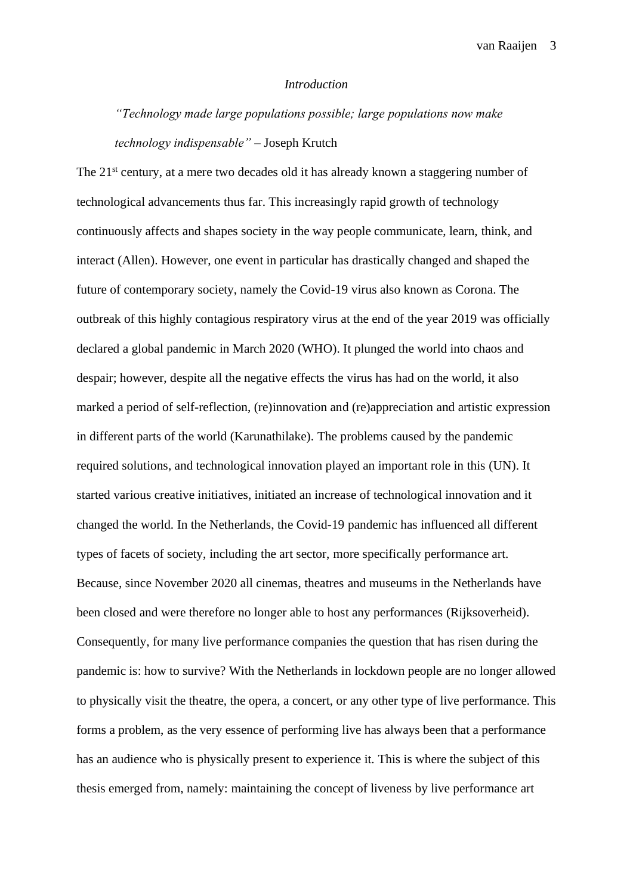#### *Introduction*

<span id="page-2-0"></span>*"Technology made large populations possible; large populations now make technology indispensable"* – Joseph Krutch

The 21<sup>st</sup> century, at a mere two decades old it has already known a staggering number of technological advancements thus far. This increasingly rapid growth of technology continuously affects and shapes society in the way people communicate, learn, think, and interact (Allen). However, one event in particular has drastically changed and shaped the future of contemporary society, namely the Covid-19 virus also known as Corona. The outbreak of this highly contagious respiratory virus at the end of the year 2019 was officially declared a global pandemic in March 2020 (WHO). It plunged the world into chaos and despair; however, despite all the negative effects the virus has had on the world, it also marked a period of self-reflection, (re)innovation and (re)appreciation and artistic expression in different parts of the world (Karunathilake). The problems caused by the pandemic required solutions, and technological innovation played an important role in this (UN). It started various creative initiatives, initiated an increase of technological innovation and it changed the world. In the Netherlands, the Covid-19 pandemic has influenced all different types of facets of society, including the art sector, more specifically performance art. Because, since November 2020 all cinemas, theatres and museums in the Netherlands have been closed and were therefore no longer able to host any performances (Rijksoverheid). Consequently, for many live performance companies the question that has risen during the pandemic is: how to survive? With the Netherlands in lockdown people are no longer allowed to physically visit the theatre, the opera, a concert, or any other type of live performance. This forms a problem, as the very essence of performing live has always been that a performance has an audience who is physically present to experience it. This is where the subject of this thesis emerged from, namely: maintaining the concept of liveness by live performance art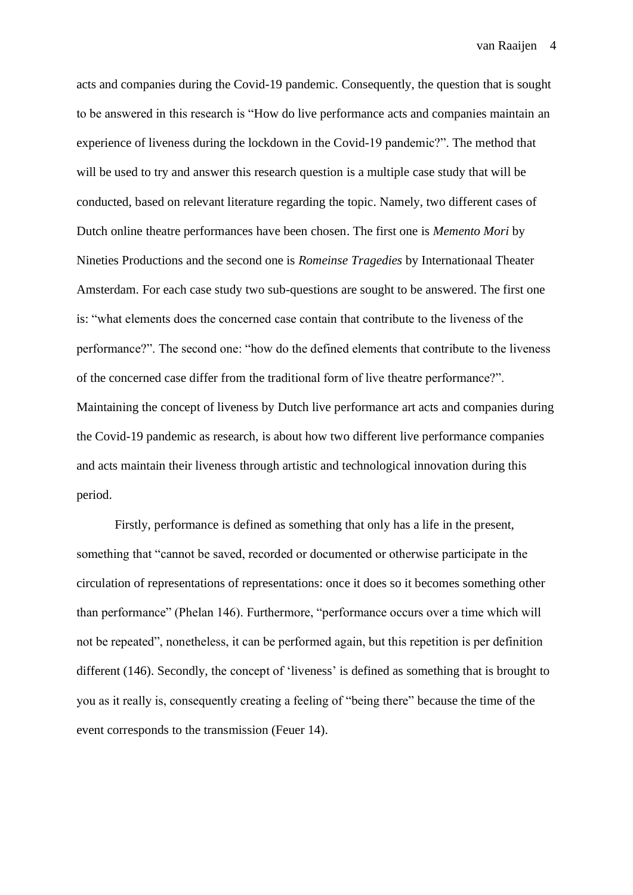acts and companies during the Covid-19 pandemic. Consequently, the question that is sought to be answered in this research is "How do live performance acts and companies maintain an experience of liveness during the lockdown in the Covid-19 pandemic?". The method that will be used to try and answer this research question is a multiple case study that will be conducted, based on relevant literature regarding the topic. Namely, two different cases of Dutch online theatre performances have been chosen. The first one is *Memento Mori* by Nineties Productions and the second one is *Romeinse Tragedies* by Internationaal Theater Amsterdam. For each case study two sub-questions are sought to be answered. The first one is: "what elements does the concerned case contain that contribute to the liveness of the performance?". The second one: "how do the defined elements that contribute to the liveness of the concerned case differ from the traditional form of live theatre performance?". Maintaining the concept of liveness by Dutch live performance art acts and companies during the Covid-19 pandemic as research, is about how two different live performance companies and acts maintain their liveness through artistic and technological innovation during this period.

Firstly, performance is defined as something that only has a life in the present, something that "cannot be saved, recorded or documented or otherwise participate in the circulation of representations of representations: once it does so it becomes something other than performance" (Phelan 146). Furthermore, "performance occurs over a time which will not be repeated", nonetheless, it can be performed again, but this repetition is per definition different (146). Secondly, the concept of 'liveness' is defined as something that is brought to you as it really is, consequently creating a feeling of "being there" because the time of the event corresponds to the transmission (Feuer 14).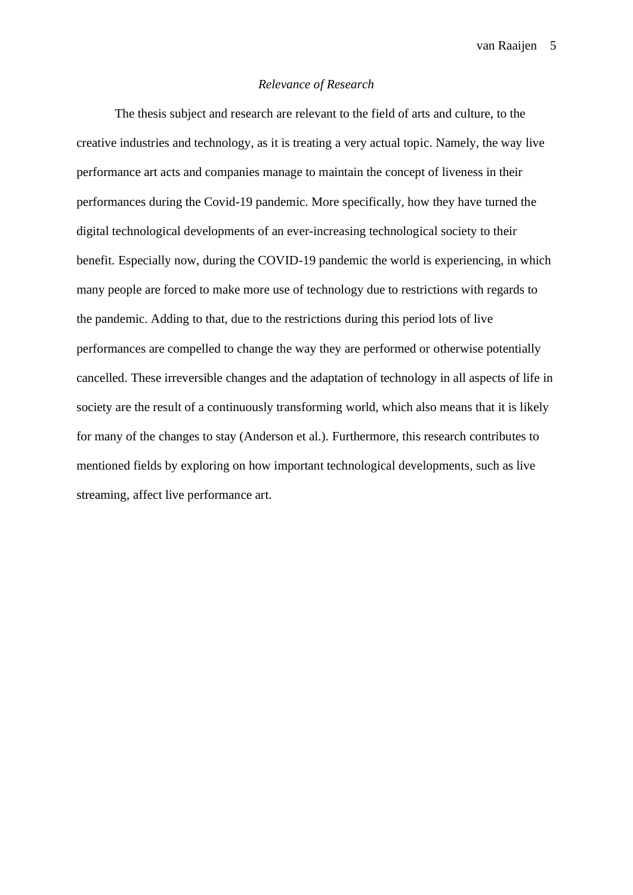# *Relevance of Research*

<span id="page-4-1"></span><span id="page-4-0"></span>The thesis subject and research are relevant to the field of arts and culture, to the creative industries and technology, as it is treating a very actual topic. Namely, the way live performance art acts and companies manage to maintain the concept of liveness in their performances during the Covid-19 pandemic. More specifically, how they have turned the digital technological developments of an ever-increasing technological society to their benefit. Especially now, during the COVID-19 pandemic the world is experiencing, in which many people are forced to make more use of technology due to restrictions with regards to the pandemic. Adding to that, due to the restrictions during this period lots of live performances are compelled to change the way they are performed or otherwise potentially cancelled. These irreversible changes and the adaptation of technology in all aspects of life in society are the result of a continuously transforming world, which also means that it is likely for many of the changes to stay (Anderson et al.). Furthermore, this research contributes to mentioned fields by exploring on how important technological developments, such as live streaming, affect live performance art.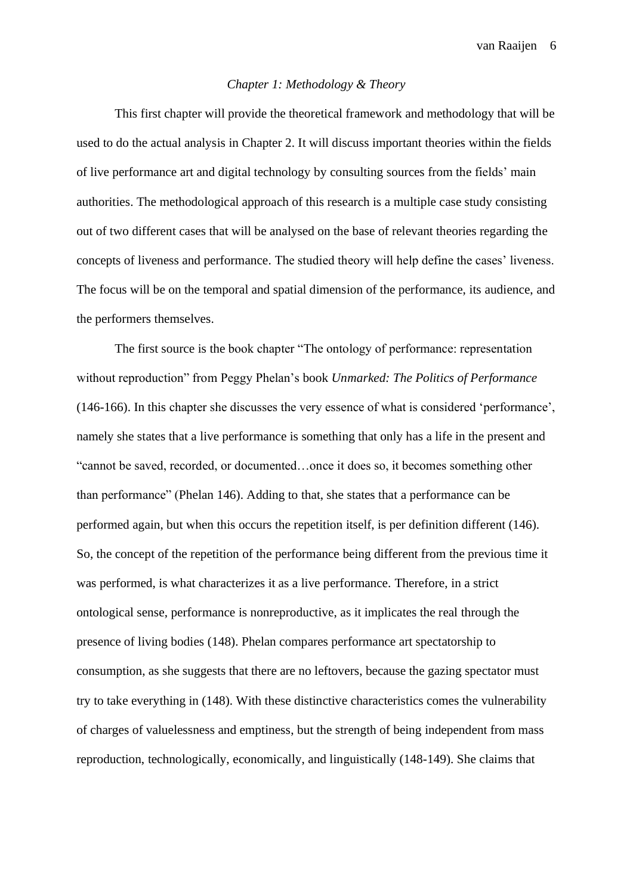### *Chapter 1: Methodology & Theory*

This first chapter will provide the theoretical framework and methodology that will be used to do the actual analysis in Chapter 2. It will discuss important theories within the fields of live performance art and digital technology by consulting sources from the fields' main authorities. The methodological approach of this research is a multiple case study consisting out of two different cases that will be analysed on the base of relevant theories regarding the concepts of liveness and performance. The studied theory will help define the cases' liveness. The focus will be on the temporal and spatial dimension of the performance, its audience, and the performers themselves.

The first source is the book chapter "The ontology of performance: representation without reproduction" from Peggy Phelan's book *Unmarked: The Politics of Performance* (146-166). In this chapter she discusses the very essence of what is considered 'performance', namely she states that a live performance is something that only has a life in the present and "cannot be saved, recorded, or documented…once it does so, it becomes something other than performance" (Phelan 146). Adding to that, she states that a performance can be performed again, but when this occurs the repetition itself, is per definition different (146). So, the concept of the repetition of the performance being different from the previous time it was performed, is what characterizes it as a live performance. Therefore, in a strict ontological sense, performance is nonreproductive, as it implicates the real through the presence of living bodies (148). Phelan compares performance art spectatorship to consumption, as she suggests that there are no leftovers, because the gazing spectator must try to take everything in (148). With these distinctive characteristics comes the vulnerability of charges of valuelessness and emptiness, but the strength of being independent from mass reproduction, technologically, economically, and linguistically (148-149). She claims that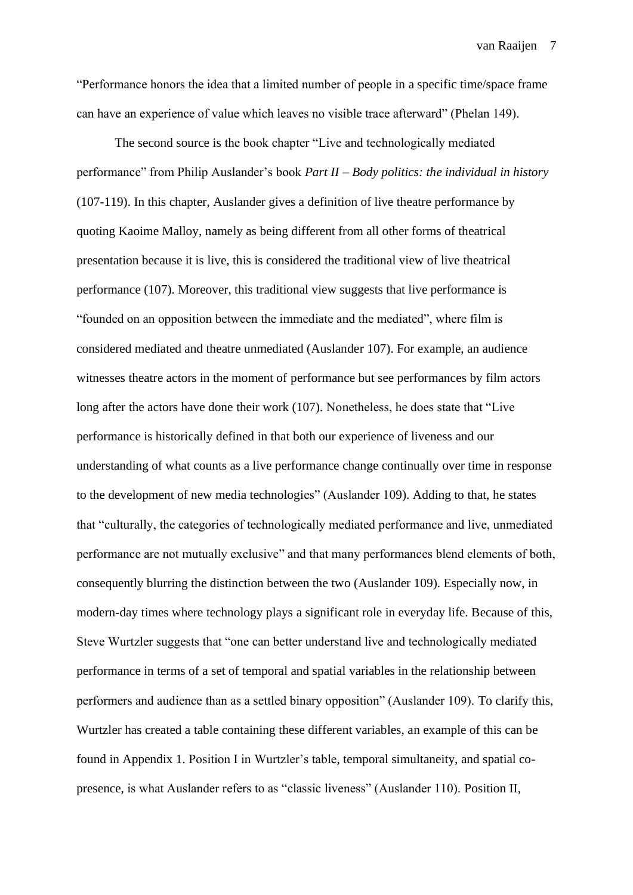"Performance honors the idea that a limited number of people in a specific time/space frame can have an experience of value which leaves no visible trace afterward" (Phelan 149).

The second source is the book chapter "Live and technologically mediated performance" from Philip Auslander's book *Part II – Body politics: the individual in history*  (107-119). In this chapter, Auslander gives a definition of live theatre performance by quoting Kaoime Malloy, namely as being different from all other forms of theatrical presentation because it is live, this is considered the traditional view of live theatrical performance (107). Moreover, this traditional view suggests that live performance is "founded on an opposition between the immediate and the mediated", where film is considered mediated and theatre unmediated (Auslander 107). For example, an audience witnesses theatre actors in the moment of performance but see performances by film actors long after the actors have done their work (107). Nonetheless, he does state that "Live performance is historically defined in that both our experience of liveness and our understanding of what counts as a live performance change continually over time in response to the development of new media technologies" (Auslander 109). Adding to that, he states that "culturally, the categories of technologically mediated performance and live, unmediated performance are not mutually exclusive" and that many performances blend elements of both, consequently blurring the distinction between the two (Auslander 109). Especially now, in modern-day times where technology plays a significant role in everyday life. Because of this, Steve Wurtzler suggests that "one can better understand live and technologically mediated performance in terms of a set of temporal and spatial variables in the relationship between performers and audience than as a settled binary opposition" (Auslander 109). To clarify this, Wurtzler has created a table containing these different variables, an example of this can be found in Appendix 1. Position I in Wurtzler's table, temporal simultaneity, and spatial copresence, is what Auslander refers to as "classic liveness" (Auslander 110). Position II,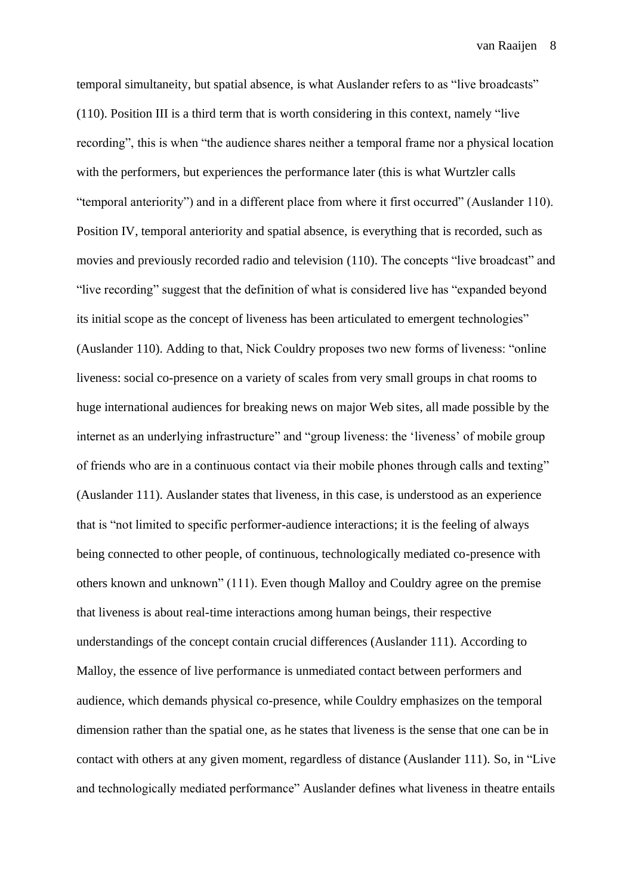temporal simultaneity, but spatial absence, is what Auslander refers to as "live broadcasts" (110). Position III is a third term that is worth considering in this context, namely "live recording", this is when "the audience shares neither a temporal frame nor a physical location with the performers, but experiences the performance later (this is what Wurtzler calls "temporal anteriority") and in a different place from where it first occurred" (Auslander 110). Position IV, temporal anteriority and spatial absence, is everything that is recorded, such as movies and previously recorded radio and television (110). The concepts "live broadcast" and "live recording" suggest that the definition of what is considered live has "expanded beyond its initial scope as the concept of liveness has been articulated to emergent technologies" (Auslander 110). Adding to that, Nick Couldry proposes two new forms of liveness: "online liveness: social co-presence on a variety of scales from very small groups in chat rooms to huge international audiences for breaking news on major Web sites, all made possible by the internet as an underlying infrastructure" and "group liveness: the 'liveness' of mobile group of friends who are in a continuous contact via their mobile phones through calls and texting" (Auslander 111). Auslander states that liveness, in this case, is understood as an experience that is "not limited to specific performer-audience interactions; it is the feeling of always being connected to other people, of continuous, technologically mediated co-presence with others known and unknown" (111). Even though Malloy and Couldry agree on the premise that liveness is about real-time interactions among human beings, their respective understandings of the concept contain crucial differences (Auslander 111). According to Malloy, the essence of live performance is unmediated contact between performers and audience, which demands physical co-presence, while Couldry emphasizes on the temporal dimension rather than the spatial one, as he states that liveness is the sense that one can be in contact with others at any given moment, regardless of distance (Auslander 111). So, in "Live and technologically mediated performance" Auslander defines what liveness in theatre entails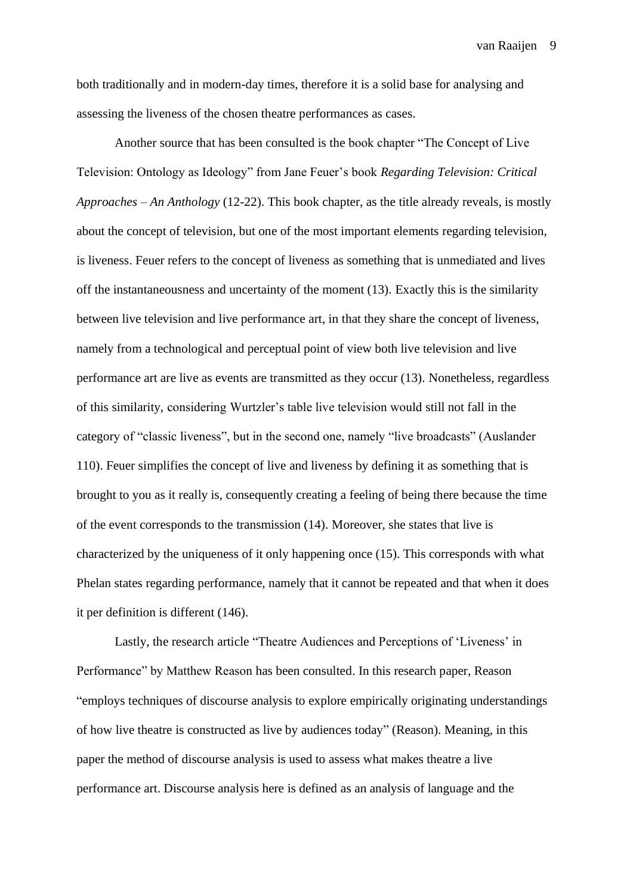both traditionally and in modern-day times, therefore it is a solid base for analysing and assessing the liveness of the chosen theatre performances as cases.

Another source that has been consulted is the book chapter "The Concept of Live Television: Ontology as Ideology" from Jane Feuer's book *Regarding Television: Critical Approaches – An Anthology* (12-22). This book chapter, as the title already reveals, is mostly about the concept of television, but one of the most important elements regarding television, is liveness. Feuer refers to the concept of liveness as something that is unmediated and lives off the instantaneousness and uncertainty of the moment (13). Exactly this is the similarity between live television and live performance art, in that they share the concept of liveness, namely from a technological and perceptual point of view both live television and live performance art are live as events are transmitted as they occur (13). Nonetheless, regardless of this similarity, considering Wurtzler's table live television would still not fall in the category of "classic liveness", but in the second one, namely "live broadcasts" (Auslander 110). Feuer simplifies the concept of live and liveness by defining it as something that is brought to you as it really is, consequently creating a feeling of being there because the time of the event corresponds to the transmission (14). Moreover, she states that live is characterized by the uniqueness of it only happening once (15). This corresponds with what Phelan states regarding performance, namely that it cannot be repeated and that when it does it per definition is different (146).

Lastly, the research article "Theatre Audiences and Perceptions of 'Liveness' in Performance" by Matthew Reason has been consulted. In this research paper, Reason "employs techniques of discourse analysis to explore empirically originating understandings of how live theatre is constructed as live by audiences today" (Reason). Meaning, in this paper the method of discourse analysis is used to assess what makes theatre a live performance art. Discourse analysis here is defined as an analysis of language and the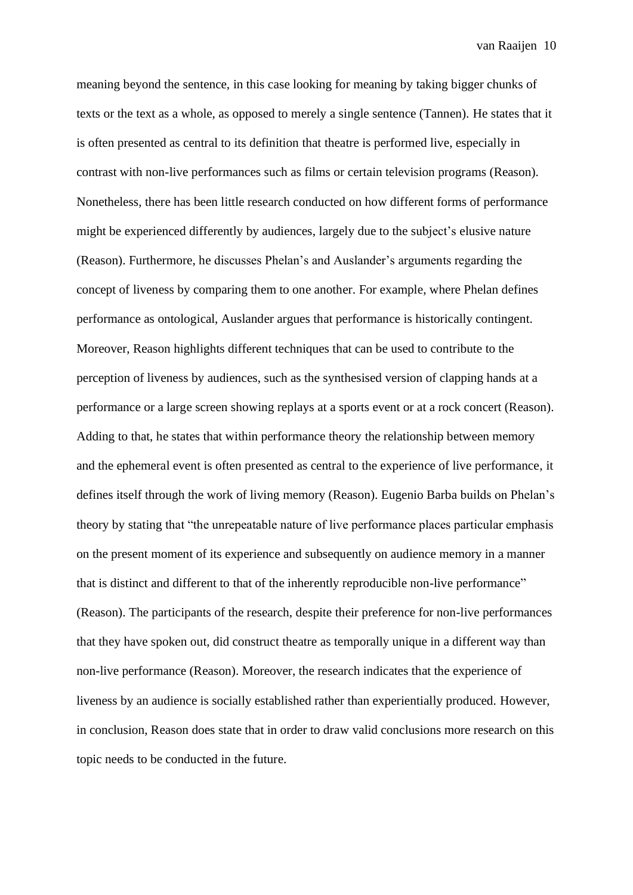<span id="page-9-0"></span>meaning beyond the sentence, in this case looking for meaning by taking bigger chunks of texts or the text as a whole, as opposed to merely a single sentence (Tannen). He states that it is often presented as central to its definition that theatre is performed live, especially in contrast with non-live performances such as films or certain television programs (Reason). Nonetheless, there has been little research conducted on how different forms of performance might be experienced differently by audiences, largely due to the subject's elusive nature (Reason). Furthermore, he discusses Phelan's and Auslander's arguments regarding the concept of liveness by comparing them to one another. For example, where Phelan defines performance as ontological, Auslander argues that performance is historically contingent. Moreover, Reason highlights different techniques that can be used to contribute to the perception of liveness by audiences, such as the synthesised version of clapping hands at a performance or a large screen showing replays at a sports event or at a rock concert (Reason). Adding to that, he states that within performance theory the relationship between memory and the ephemeral event is often presented as central to the experience of live performance, it defines itself through the work of living memory (Reason). Eugenio Barba builds on Phelan's theory by stating that "the unrepeatable nature of live performance places particular emphasis on the present moment of its experience and subsequently on audience memory in a manner that is distinct and different to that of the inherently reproducible non-live performance" (Reason). The participants of the research, despite their preference for non-live performances that they have spoken out, did construct theatre as temporally unique in a different way than non-live performance (Reason). Moreover, the research indicates that the experience of liveness by an audience is socially established rather than experientially produced. However, in conclusion, Reason does state that in order to draw valid conclusions more research on this topic needs to be conducted in the future.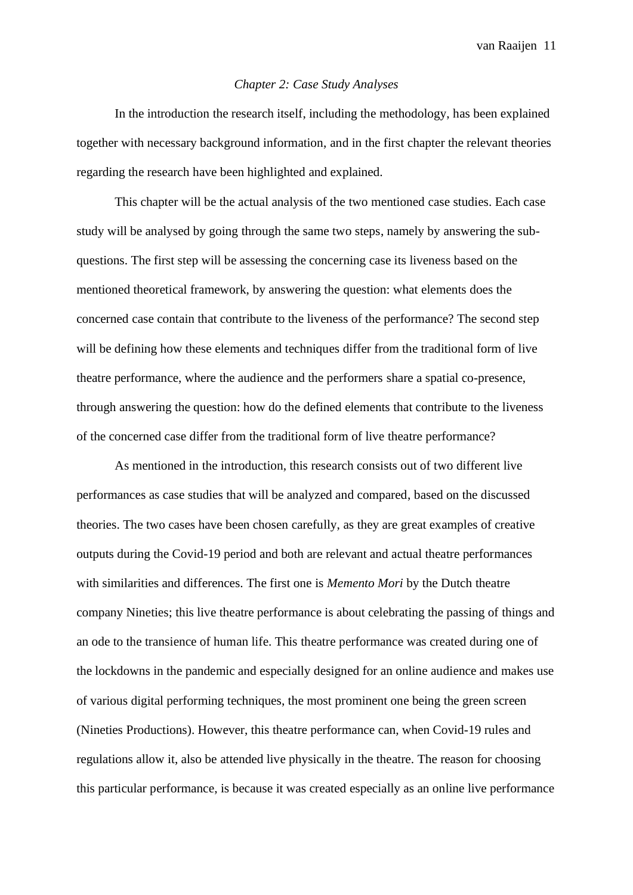### *Chapter 2: Case Study Analyses*

In the introduction the research itself, including the methodology, has been explained together with necessary background information, and in the first chapter the relevant theories regarding the research have been highlighted and explained.

This chapter will be the actual analysis of the two mentioned case studies. Each case study will be analysed by going through the same two steps, namely by answering the subquestions. The first step will be assessing the concerning case its liveness based on the mentioned theoretical framework, by answering the question: what elements does the concerned case contain that contribute to the liveness of the performance? The second step will be defining how these elements and techniques differ from the traditional form of live theatre performance, where the audience and the performers share a spatial co-presence, through answering the question: how do the defined elements that contribute to the liveness of the concerned case differ from the traditional form of live theatre performance?

As mentioned in the introduction, this research consists out of two different live performances as case studies that will be analyzed and compared, based on the discussed theories. The two cases have been chosen carefully, as they are great examples of creative outputs during the Covid-19 period and both are relevant and actual theatre performances with similarities and differences. The first one is *Memento Mori* by the Dutch theatre company Nineties; this live theatre performance is about celebrating the passing of things and an ode to the transience of human life. This theatre performance was created during one of the lockdowns in the pandemic and especially designed for an online audience and makes use of various digital performing techniques, the most prominent one being the green screen (Nineties Productions). However, this theatre performance can, when Covid-19 rules and regulations allow it, also be attended live physically in the theatre. The reason for choosing this particular performance, is because it was created especially as an online live performance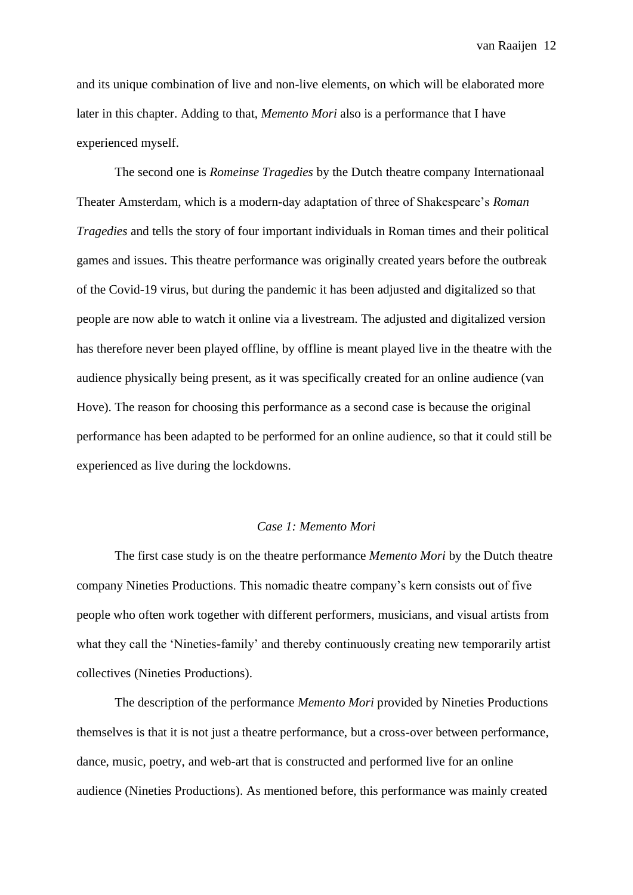and its unique combination of live and non-live elements, on which will be elaborated more later in this chapter. Adding to that, *Memento Mori* also is a performance that I have experienced myself.

The second one is *Romeinse Tragedies* by the Dutch theatre company Internationaal Theater Amsterdam, which is a modern-day adaptation of three of Shakespeare's *Roman Tragedies* and tells the story of four important individuals in Roman times and their political games and issues. This theatre performance was originally created years before the outbreak of the Covid-19 virus, but during the pandemic it has been adjusted and digitalized so that people are now able to watch it online via a livestream. The adjusted and digitalized version has therefore never been played offline, by offline is meant played live in the theatre with the audience physically being present, as it was specifically created for an online audience (van Hove). The reason for choosing this performance as a second case is because the original performance has been adapted to be performed for an online audience, so that it could still be experienced as live during the lockdowns.

# *Case 1: Memento Mori*

<span id="page-11-0"></span>The first case study is on the theatre performance *Memento Mori* by the Dutch theatre company Nineties Productions. This nomadic theatre company's kern consists out of five people who often work together with different performers, musicians, and visual artists from what they call the 'Nineties-family' and thereby continuously creating new temporarily artist collectives (Nineties Productions).

The description of the performance *Memento Mori* provided by Nineties Productions themselves is that it is not just a theatre performance, but a cross-over between performance, dance, music, poetry, and web-art that is constructed and performed live for an online audience (Nineties Productions). As mentioned before, this performance was mainly created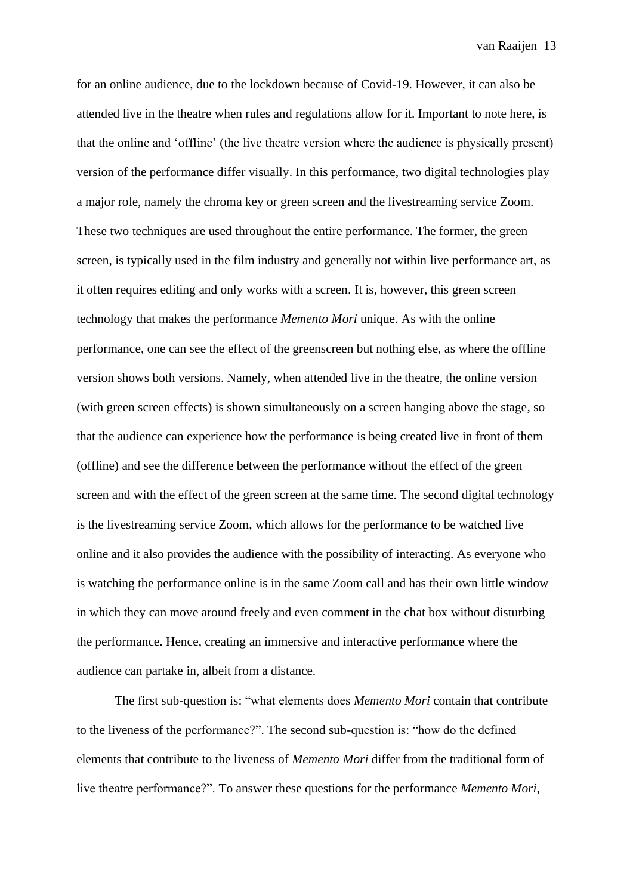for an online audience, due to the lockdown because of Covid-19. However, it can also be attended live in the theatre when rules and regulations allow for it. Important to note here, is that the online and 'offline' (the live theatre version where the audience is physically present) version of the performance differ visually. In this performance, two digital technologies play a major role, namely the chroma key or green screen and the livestreaming service Zoom. These two techniques are used throughout the entire performance. The former, the green screen, is typically used in the film industry and generally not within live performance art, as it often requires editing and only works with a screen. It is, however, this green screen technology that makes the performance *Memento Mori* unique. As with the online performance, one can see the effect of the greenscreen but nothing else, as where the offline version shows both versions. Namely, when attended live in the theatre, the online version (with green screen effects) is shown simultaneously on a screen hanging above the stage, so that the audience can experience how the performance is being created live in front of them (offline) and see the difference between the performance without the effect of the green screen and with the effect of the green screen at the same time. The second digital technology is the livestreaming service Zoom, which allows for the performance to be watched live online and it also provides the audience with the possibility of interacting. As everyone who is watching the performance online is in the same Zoom call and has their own little window in which they can move around freely and even comment in the chat box without disturbing the performance. Hence, creating an immersive and interactive performance where the audience can partake in, albeit from a distance.

The first sub-question is: "what elements does *Memento Mori* contain that contribute to the liveness of the performance?". The second sub-question is: "how do the defined elements that contribute to the liveness of *Memento Mori* differ from the traditional form of live theatre performance?". To answer these questions for the performance *Memento Mori*,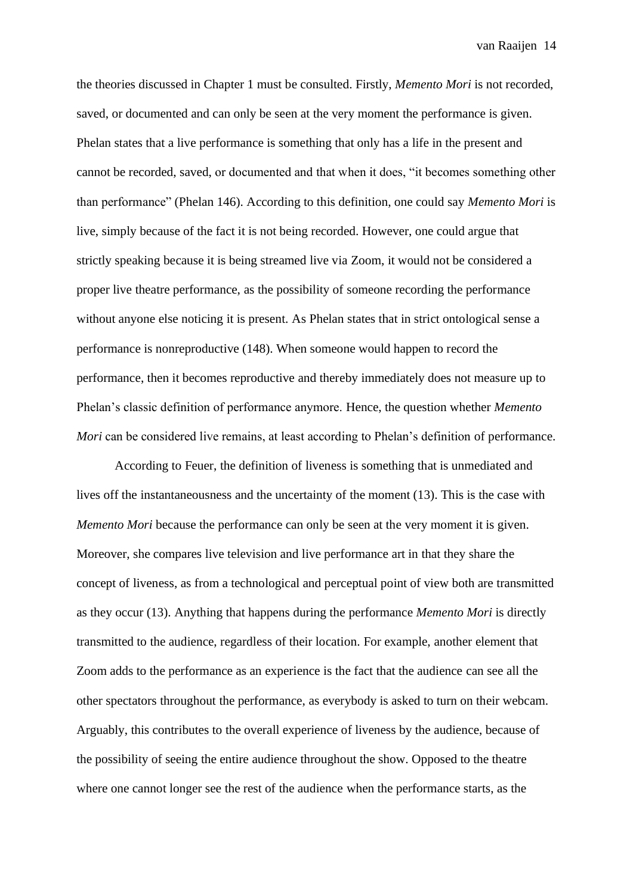the theories discussed in Chapter 1 must be consulted. Firstly, *Memento Mori* is not recorded, saved, or documented and can only be seen at the very moment the performance is given. Phelan states that a live performance is something that only has a life in the present and cannot be recorded, saved, or documented and that when it does, "it becomes something other than performance" (Phelan 146). According to this definition, one could say *Memento Mori* is live, simply because of the fact it is not being recorded. However, one could argue that strictly speaking because it is being streamed live via Zoom, it would not be considered a proper live theatre performance, as the possibility of someone recording the performance without anyone else noticing it is present. As Phelan states that in strict ontological sense a performance is nonreproductive (148). When someone would happen to record the performance, then it becomes reproductive and thereby immediately does not measure up to Phelan's classic definition of performance anymore. Hence, the question whether *Memento Mori* can be considered live remains, at least according to Phelan's definition of performance.

According to Feuer, the definition of liveness is something that is unmediated and lives off the instantaneousness and the uncertainty of the moment (13). This is the case with *Memento Mori* because the performance can only be seen at the very moment it is given. Moreover, she compares live television and live performance art in that they share the concept of liveness, as from a technological and perceptual point of view both are transmitted as they occur (13). Anything that happens during the performance *Memento Mori* is directly transmitted to the audience, regardless of their location. For example, another element that Zoom adds to the performance as an experience is the fact that the audience can see all the other spectators throughout the performance, as everybody is asked to turn on their webcam. Arguably, this contributes to the overall experience of liveness by the audience, because of the possibility of seeing the entire audience throughout the show. Opposed to the theatre where one cannot longer see the rest of the audience when the performance starts, as the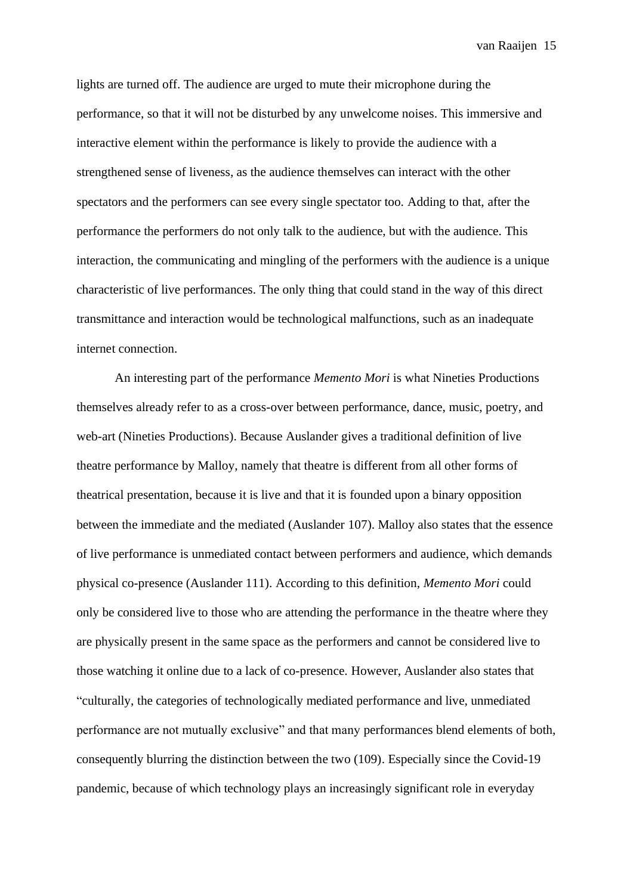lights are turned off. The audience are urged to mute their microphone during the performance, so that it will not be disturbed by any unwelcome noises. This immersive and interactive element within the performance is likely to provide the audience with a strengthened sense of liveness, as the audience themselves can interact with the other spectators and the performers can see every single spectator too. Adding to that, after the performance the performers do not only talk to the audience, but with the audience. This interaction, the communicating and mingling of the performers with the audience is a unique characteristic of live performances. The only thing that could stand in the way of this direct transmittance and interaction would be technological malfunctions, such as an inadequate internet connection.

An interesting part of the performance *Memento Mori* is what Nineties Productions themselves already refer to as a cross-over between performance, dance, music, poetry, and web-art (Nineties Productions). Because Auslander gives a traditional definition of live theatre performance by Malloy, namely that theatre is different from all other forms of theatrical presentation, because it is live and that it is founded upon a binary opposition between the immediate and the mediated (Auslander 107). Malloy also states that the essence of live performance is unmediated contact between performers and audience, which demands physical co-presence (Auslander 111). According to this definition, *Memento Mori* could only be considered live to those who are attending the performance in the theatre where they are physically present in the same space as the performers and cannot be considered live to those watching it online due to a lack of co-presence. However, Auslander also states that "culturally, the categories of technologically mediated performance and live, unmediated performance are not mutually exclusive" and that many performances blend elements of both, consequently blurring the distinction between the two (109). Especially since the Covid-19 pandemic, because of which technology plays an increasingly significant role in everyday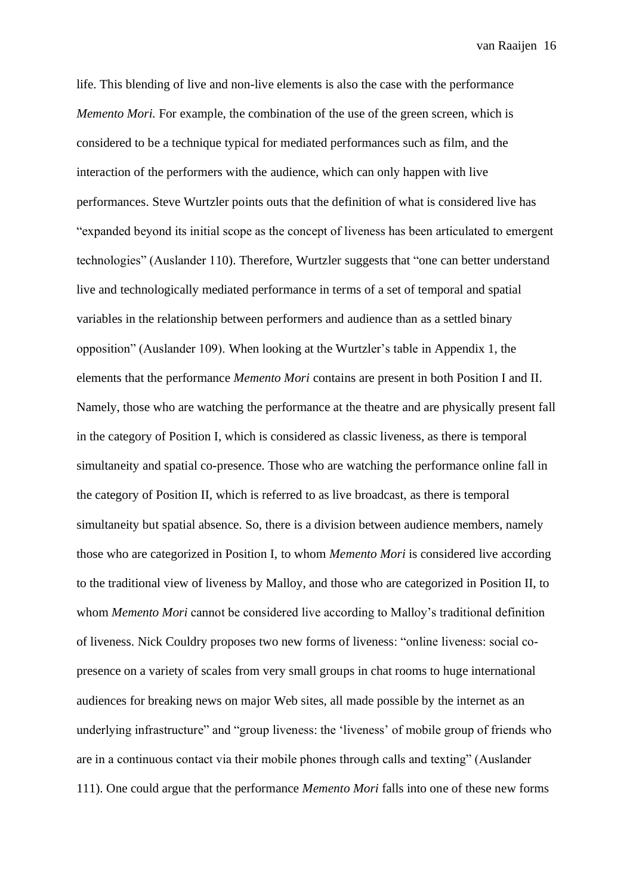life. This blending of live and non-live elements is also the case with the performance *Memento Mori.* For example, the combination of the use of the green screen, which is considered to be a technique typical for mediated performances such as film, and the interaction of the performers with the audience, which can only happen with live performances. Steve Wurtzler points outs that the definition of what is considered live has "expanded beyond its initial scope as the concept of liveness has been articulated to emergent technologies" (Auslander 110). Therefore, Wurtzler suggests that "one can better understand live and technologically mediated performance in terms of a set of temporal and spatial variables in the relationship between performers and audience than as a settled binary opposition" (Auslander 109). When looking at the Wurtzler's table in Appendix 1, the elements that the performance *Memento Mori* contains are present in both Position I and II. Namely, those who are watching the performance at the theatre and are physically present fall in the category of Position I, which is considered as classic liveness, as there is temporal simultaneity and spatial co-presence. Those who are watching the performance online fall in the category of Position II, which is referred to as live broadcast, as there is temporal simultaneity but spatial absence. So, there is a division between audience members, namely those who are categorized in Position I, to whom *Memento Mori* is considered live according to the traditional view of liveness by Malloy, and those who are categorized in Position II, to whom *Memento Mori* cannot be considered live according to Malloy's traditional definition of liveness. Nick Couldry proposes two new forms of liveness: "online liveness: social copresence on a variety of scales from very small groups in chat rooms to huge international audiences for breaking news on major Web sites, all made possible by the internet as an underlying infrastructure" and "group liveness: the 'liveness' of mobile group of friends who are in a continuous contact via their mobile phones through calls and texting" (Auslander 111). One could argue that the performance *Memento Mori* falls into one of these new forms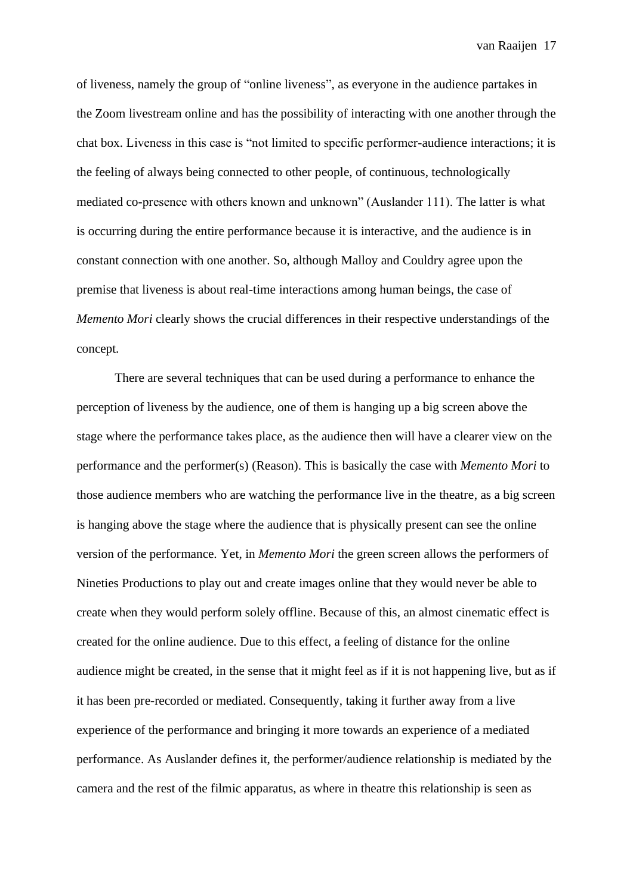of liveness, namely the group of "online liveness", as everyone in the audience partakes in the Zoom livestream online and has the possibility of interacting with one another through the chat box. Liveness in this case is "not limited to specific performer-audience interactions; it is the feeling of always being connected to other people, of continuous, technologically mediated co-presence with others known and unknown" (Auslander 111). The latter is what is occurring during the entire performance because it is interactive, and the audience is in constant connection with one another. So, although Malloy and Couldry agree upon the premise that liveness is about real-time interactions among human beings, the case of *Memento Mori* clearly shows the crucial differences in their respective understandings of the concept.

There are several techniques that can be used during a performance to enhance the perception of liveness by the audience, one of them is hanging up a big screen above the stage where the performance takes place, as the audience then will have a clearer view on the performance and the performer(s) (Reason). This is basically the case with *Memento Mori* to those audience members who are watching the performance live in the theatre, as a big screen is hanging above the stage where the audience that is physically present can see the online version of the performance. Yet, in *Memento Mori* the green screen allows the performers of Nineties Productions to play out and create images online that they would never be able to create when they would perform solely offline. Because of this, an almost cinematic effect is created for the online audience. Due to this effect, a feeling of distance for the online audience might be created, in the sense that it might feel as if it is not happening live, but as if it has been pre-recorded or mediated. Consequently, taking it further away from a live experience of the performance and bringing it more towards an experience of a mediated performance. As Auslander defines it, the performer/audience relationship is mediated by the camera and the rest of the filmic apparatus, as where in theatre this relationship is seen as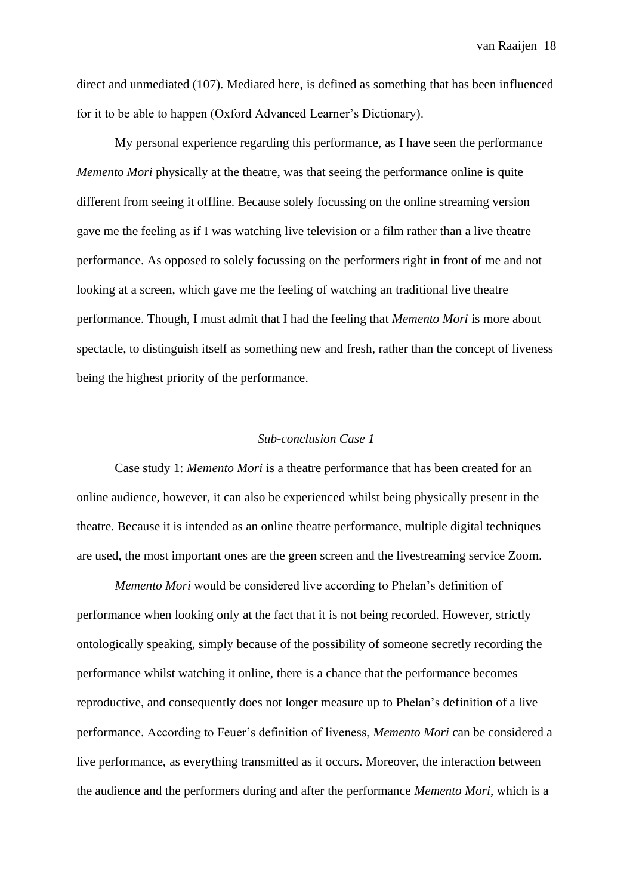direct and unmediated (107). Mediated here, is defined as something that has been influenced for it to be able to happen (Oxford Advanced Learner's Dictionary).

My personal experience regarding this performance, as I have seen the performance *Memento Mori* physically at the theatre, was that seeing the performance online is quite different from seeing it offline. Because solely focussing on the online streaming version gave me the feeling as if I was watching live television or a film rather than a live theatre performance. As opposed to solely focussing on the performers right in front of me and not looking at a screen, which gave me the feeling of watching an traditional live theatre performance. Though, I must admit that I had the feeling that *Memento Mori* is more about spectacle, to distinguish itself as something new and fresh, rather than the concept of liveness being the highest priority of the performance.

# *Sub-conclusion Case 1*

<span id="page-17-0"></span>Case study 1: *Memento Mori* is a theatre performance that has been created for an online audience, however, it can also be experienced whilst being physically present in the theatre. Because it is intended as an online theatre performance, multiple digital techniques are used, the most important ones are the green screen and the livestreaming service Zoom.

*Memento Mori* would be considered live according to Phelan's definition of performance when looking only at the fact that it is not being recorded. However, strictly ontologically speaking, simply because of the possibility of someone secretly recording the performance whilst watching it online, there is a chance that the performance becomes reproductive, and consequently does not longer measure up to Phelan's definition of a live performance. According to Feuer's definition of liveness, *Memento Mori* can be considered a live performance, as everything transmitted as it occurs. Moreover, the interaction between the audience and the performers during and after the performance *Memento Mori*, which is a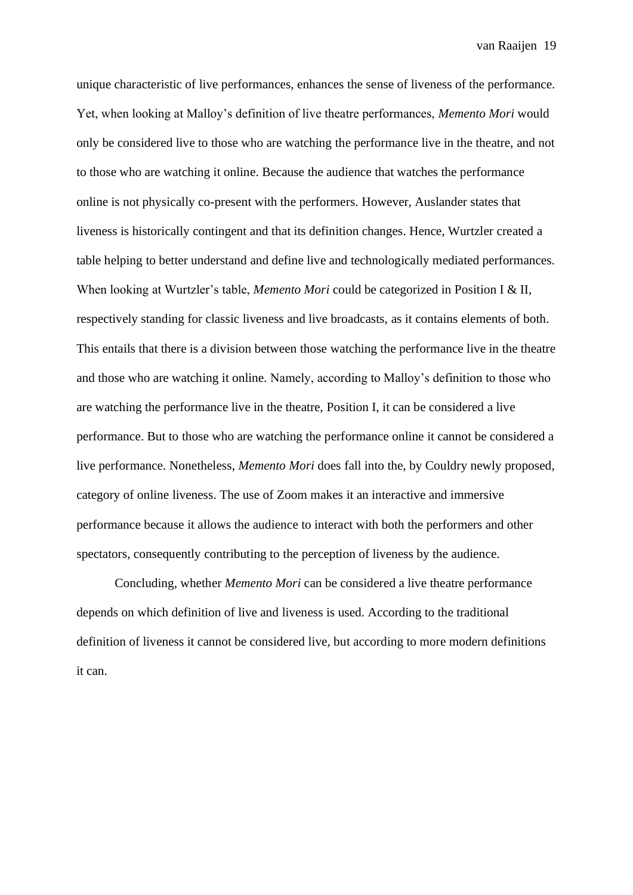unique characteristic of live performances, enhances the sense of liveness of the performance. Yet, when looking at Malloy's definition of live theatre performances, *Memento Mori* would only be considered live to those who are watching the performance live in the theatre, and not to those who are watching it online. Because the audience that watches the performance online is not physically co-present with the performers. However, Auslander states that liveness is historically contingent and that its definition changes. Hence, Wurtzler created a table helping to better understand and define live and technologically mediated performances. When looking at Wurtzler's table, *Memento Mori* could be categorized in Position I & II, respectively standing for classic liveness and live broadcasts, as it contains elements of both. This entails that there is a division between those watching the performance live in the theatre and those who are watching it online. Namely, according to Malloy's definition to those who are watching the performance live in the theatre, Position I, it can be considered a live performance. But to those who are watching the performance online it cannot be considered a live performance. Nonetheless, *Memento Mori* does fall into the, by Couldry newly proposed, category of online liveness. The use of Zoom makes it an interactive and immersive performance because it allows the audience to interact with both the performers and other spectators, consequently contributing to the perception of liveness by the audience.

<span id="page-18-0"></span>Concluding, whether *Memento Mori* can be considered a live theatre performance depends on which definition of live and liveness is used. According to the traditional definition of liveness it cannot be considered live, but according to more modern definitions it can.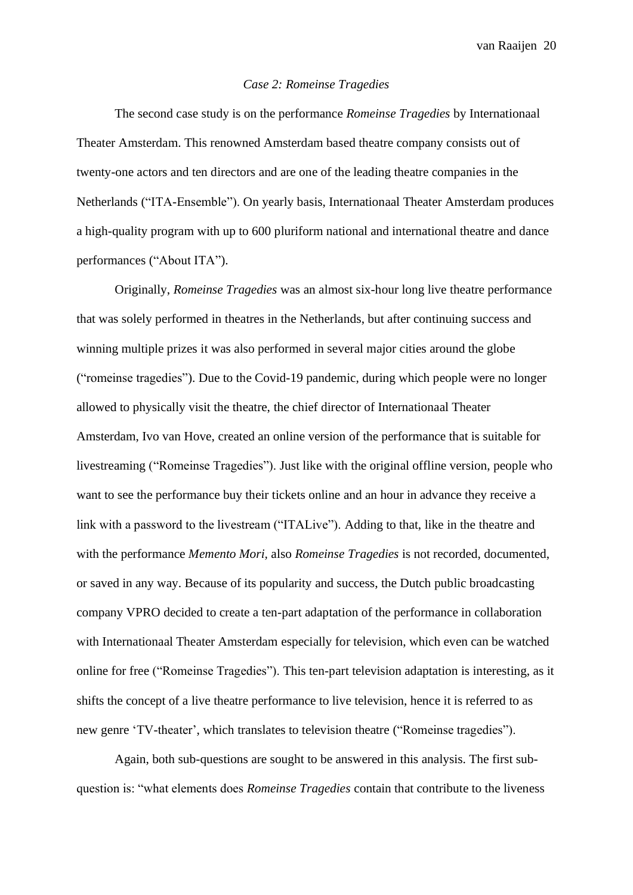# *Case 2: Romeinse Tragedies*

The second case study is on the performance *Romeinse Tragedies* by Internationaal Theater Amsterdam. This renowned Amsterdam based theatre company consists out of twenty-one actors and ten directors and are one of the leading theatre companies in the Netherlands ("ITA-Ensemble"). On yearly basis, Internationaal Theater Amsterdam produces a high-quality program with up to 600 pluriform national and international theatre and dance performances ("About ITA").

Originally, *Romeinse Tragedies* was an almost six-hour long live theatre performance that was solely performed in theatres in the Netherlands, but after continuing success and winning multiple prizes it was also performed in several major cities around the globe ("romeinse tragedies"). Due to the Covid-19 pandemic, during which people were no longer allowed to physically visit the theatre, the chief director of Internationaal Theater Amsterdam, Ivo van Hove, created an online version of the performance that is suitable for livestreaming ("Romeinse Tragedies"). Just like with the original offline version, people who want to see the performance buy their tickets online and an hour in advance they receive a link with a password to the livestream ("ITALive"). Adding to that, like in the theatre and with the performance *Memento Mori,* also *Romeinse Tragedies* is not recorded, documented, or saved in any way. Because of its popularity and success, the Dutch public broadcasting company VPRO decided to create a ten-part adaptation of the performance in collaboration with Internationaal Theater Amsterdam especially for television, which even can be watched online for free ("Romeinse Tragedies"). This ten-part television adaptation is interesting, as it shifts the concept of a live theatre performance to live television, hence it is referred to as new genre 'TV-theater', which translates to television theatre ("Romeinse tragedies").

Again, both sub-questions are sought to be answered in this analysis. The first subquestion is: "what elements does *Romeinse Tragedies* contain that contribute to the liveness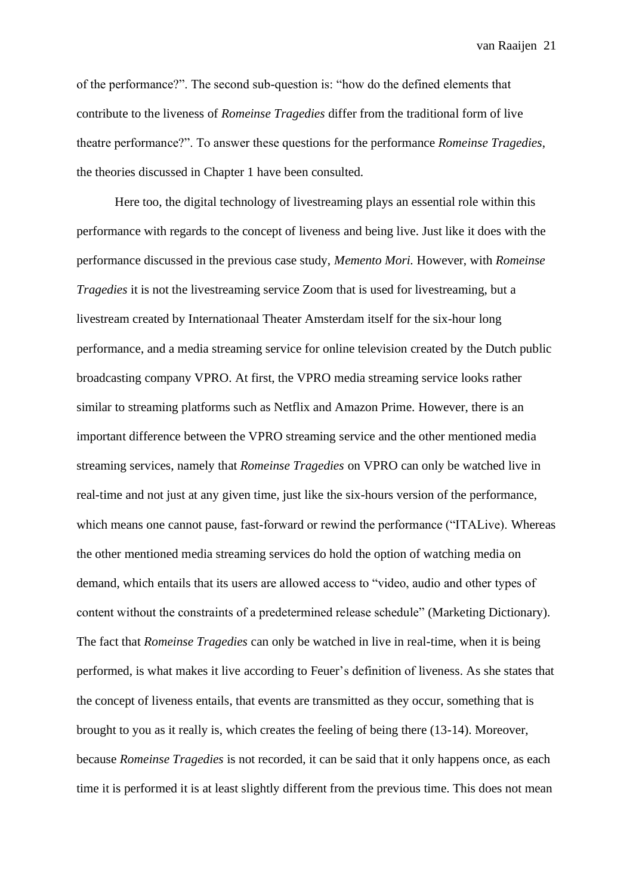of the performance?". The second sub-question is: "how do the defined elements that contribute to the liveness of *Romeinse Tragedies* differ from the traditional form of live theatre performance?". To answer these questions for the performance *Romeinse Tragedies*, the theories discussed in Chapter 1 have been consulted.

Here too, the digital technology of livestreaming plays an essential role within this performance with regards to the concept of liveness and being live. Just like it does with the performance discussed in the previous case study, *Memento Mori.* However, with *Romeinse Tragedies* it is not the livestreaming service Zoom that is used for livestreaming, but a livestream created by Internationaal Theater Amsterdam itself for the six-hour long performance, and a media streaming service for online television created by the Dutch public broadcasting company VPRO. At first, the VPRO media streaming service looks rather similar to streaming platforms such as Netflix and Amazon Prime. However, there is an important difference between the VPRO streaming service and the other mentioned media streaming services, namely that *Romeinse Tragedies* on VPRO can only be watched live in real-time and not just at any given time, just like the six-hours version of the performance, which means one cannot pause, fast-forward or rewind the performance ("ITALive). Whereas the other mentioned media streaming services do hold the option of watching media on demand, which entails that its users are allowed access to "video, audio and other types of content without the constraints of a predetermined release schedule" (Marketing Dictionary). The fact that *Romeinse Tragedies* can only be watched in live in real-time, when it is being performed, is what makes it live according to Feuer's definition of liveness. As she states that the concept of liveness entails, that events are transmitted as they occur, something that is brought to you as it really is, which creates the feeling of being there (13-14). Moreover, because *Romeinse Tragedies* is not recorded, it can be said that it only happens once, as each time it is performed it is at least slightly different from the previous time. This does not mean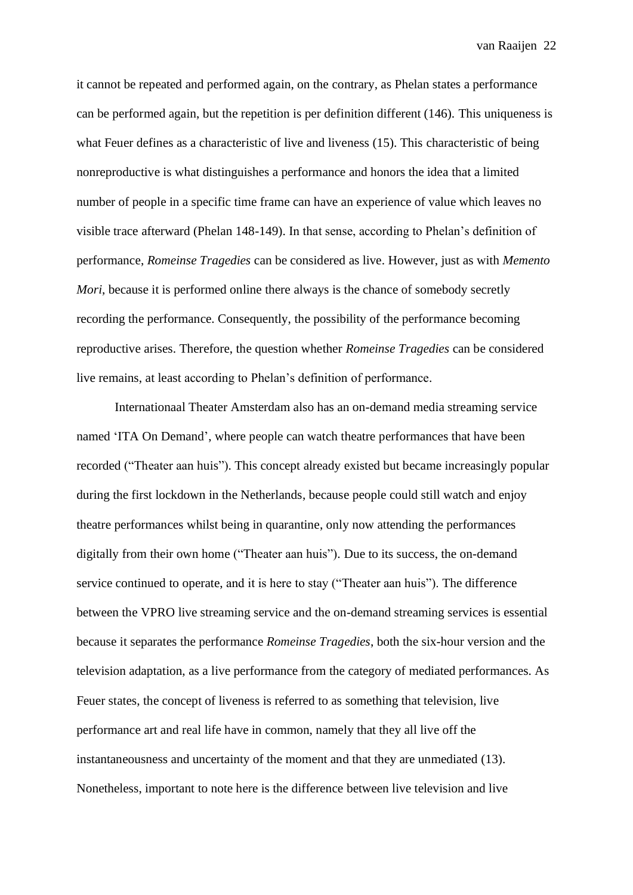it cannot be repeated and performed again, on the contrary, as Phelan states a performance can be performed again, but the repetition is per definition different (146). This uniqueness is what Feuer defines as a characteristic of live and liveness (15). This characteristic of being nonreproductive is what distinguishes a performance and honors the idea that a limited number of people in a specific time frame can have an experience of value which leaves no visible trace afterward (Phelan 148-149). In that sense, according to Phelan's definition of performance, *Romeinse Tragedies* can be considered as live. However, just as with *Memento Mori*, because it is performed online there always is the chance of somebody secretly recording the performance. Consequently, the possibility of the performance becoming reproductive arises. Therefore, the question whether *Romeinse Tragedies* can be considered live remains, at least according to Phelan's definition of performance.

Internationaal Theater Amsterdam also has an on-demand media streaming service named 'ITA On Demand', where people can watch theatre performances that have been recorded ("Theater aan huis"). This concept already existed but became increasingly popular during the first lockdown in the Netherlands, because people could still watch and enjoy theatre performances whilst being in quarantine, only now attending the performances digitally from their own home ("Theater aan huis"). Due to its success, the on-demand service continued to operate, and it is here to stay ("Theater aan huis"). The difference between the VPRO live streaming service and the on-demand streaming services is essential because it separates the performance *Romeinse Tragedies*, both the six-hour version and the television adaptation, as a live performance from the category of mediated performances. As Feuer states, the concept of liveness is referred to as something that television, live performance art and real life have in common, namely that they all live off the instantaneousness and uncertainty of the moment and that they are unmediated (13). Nonetheless, important to note here is the difference between live television and live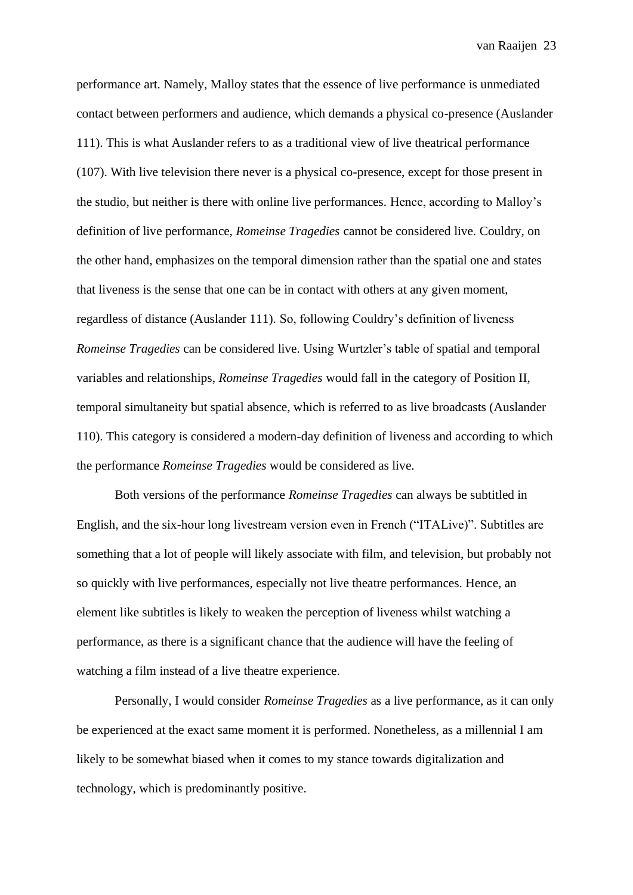performance art. Namely, Malloy states that the essence of live performance is unmediated contact between performers and audience, which demands a physical co-presence (Auslander 111). This is what Auslander refers to as a traditional view of live theatrical performance (107). With live television there never is a physical co-presence, except for those present in the studio, but neither is there with online live performances. Hence, according to Malloy's definition of live performance, *Romeinse Tragedies* cannot be considered live. Couldry, on the other hand, emphasizes on the temporal dimension rather than the spatial one and states that liveness is the sense that one can be in contact with others at any given moment, regardless of distance (Auslander 111). So, following Couldry's definition of liveness *Romeinse Tragedies* can be considered live. Using Wurtzler's table of spatial and temporal variables and relationships, *Romeinse Tragedies* would fall in the category of Position II, temporal simultaneity but spatial absence, which is referred to as live broadcasts (Auslander 110). This category is considered a modern-day definition of liveness and according to which the performance *Romeinse Tragedies* would be considered as live.

Both versions of the performance *Romeinse Tragedies* can always be subtitled in English, and the six-hour long livestream version even in French ("ITALive)". Subtitles are something that a lot of people will likely associate with film, and television, but probably not so quickly with live performances, especially not live theatre performances. Hence, an element like subtitles is likely to weaken the perception of liveness whilst watching a performance, as there is a significant chance that the audience will have the feeling of watching a film instead of a live theatre experience.

Personally, I would consider *Romeinse Tragedies* as a live performance, as it can only be experienced at the exact same moment it is performed. Nonetheless, as a millennial I am likely to be somewhat biased when it comes to my stance towards digitalization and technology, which is predominantly positive.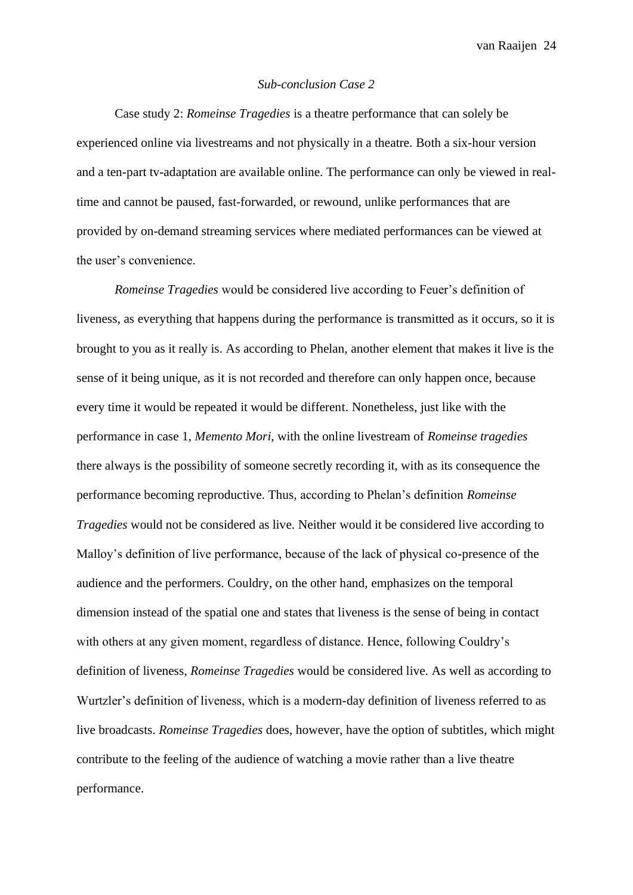# *Sub-conclusion Case 2*

<span id="page-23-0"></span>Case study 2: *Romeinse Tragedies* is a theatre performance that can solely be experienced online via livestreams and not physically in a theatre. Both a six-hour version and a ten-part tv-adaptation are available online. The performance can only be viewed in realtime and cannot be paused, fast-forwarded, or rewound, unlike performances that are provided by on-demand streaming services where mediated performances can be viewed at the user's convenience.

*Romeinse Tragedies* would be considered live according to Feuer's definition of liveness, as everything that happens during the performance is transmitted as it occurs, so it is brought to you as it really is. As according to Phelan, another element that makes it live is the sense of it being unique, as it is not recorded and therefore can only happen once, because every time it would be repeated it would be different. Nonetheless, just like with the performance in case 1, *Memento Mori*, with the online livestream of *Romeinse tragedies* there always is the possibility of someone secretly recording it, with as its consequence the performance becoming reproductive. Thus, according to Phelan's definition *Romeinse Tragedies* would not be considered as live. Neither would it be considered live according to Malloy's definition of live performance, because of the lack of physical co-presence of the audience and the performers. Couldry, on the other hand, emphasizes on the temporal dimension instead of the spatial one and states that liveness is the sense of being in contact with others at any given moment, regardless of distance. Hence, following Couldry's definition of liveness, *Romeinse Tragedies* would be considered live. As well as according to Wurtzler's definition of liveness, which is a modern-day definition of liveness referred to as live broadcasts. *Romeinse Tragedies* does, however, have the option of subtitles, which might contribute to the feeling of the audience of watching a movie rather than a live theatre performance.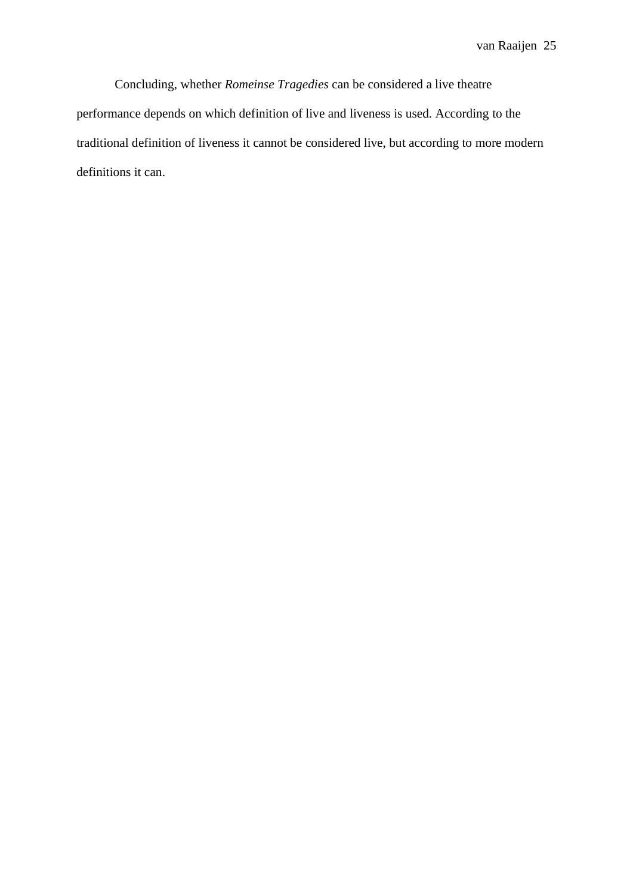<span id="page-24-0"></span>Concluding, whether *Romeinse Tragedies* can be considered a live theatre performance depends on which definition of live and liveness is used. According to the traditional definition of liveness it cannot be considered live, but according to more modern definitions it can.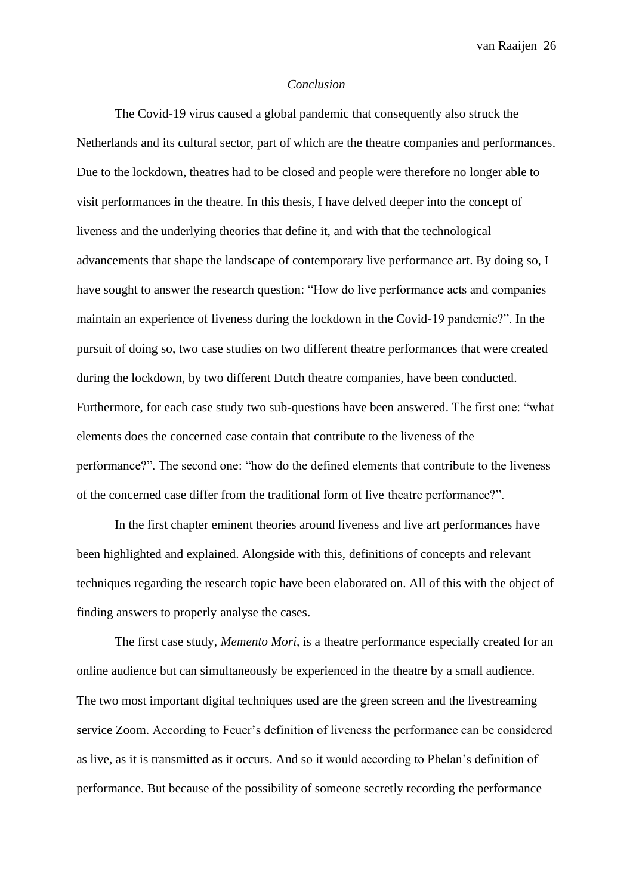#### *Conclusion*

The Covid-19 virus caused a global pandemic that consequently also struck the Netherlands and its cultural sector, part of which are the theatre companies and performances. Due to the lockdown, theatres had to be closed and people were therefore no longer able to visit performances in the theatre. In this thesis, I have delved deeper into the concept of liveness and the underlying theories that define it, and with that the technological advancements that shape the landscape of contemporary live performance art. By doing so, I have sought to answer the research question: "How do live performance acts and companies maintain an experience of liveness during the lockdown in the Covid-19 pandemic?". In the pursuit of doing so, two case studies on two different theatre performances that were created during the lockdown, by two different Dutch theatre companies, have been conducted. Furthermore, for each case study two sub-questions have been answered. The first one: "what elements does the concerned case contain that contribute to the liveness of the performance?". The second one: "how do the defined elements that contribute to the liveness of the concerned case differ from the traditional form of live theatre performance?".

In the first chapter eminent theories around liveness and live art performances have been highlighted and explained. Alongside with this, definitions of concepts and relevant techniques regarding the research topic have been elaborated on. All of this with the object of finding answers to properly analyse the cases.

The first case study, *Memento Mori,* is a theatre performance especially created for an online audience but can simultaneously be experienced in the theatre by a small audience. The two most important digital techniques used are the green screen and the livestreaming service Zoom. According to Feuer's definition of liveness the performance can be considered as live, as it is transmitted as it occurs. And so it would according to Phelan's definition of performance. But because of the possibility of someone secretly recording the performance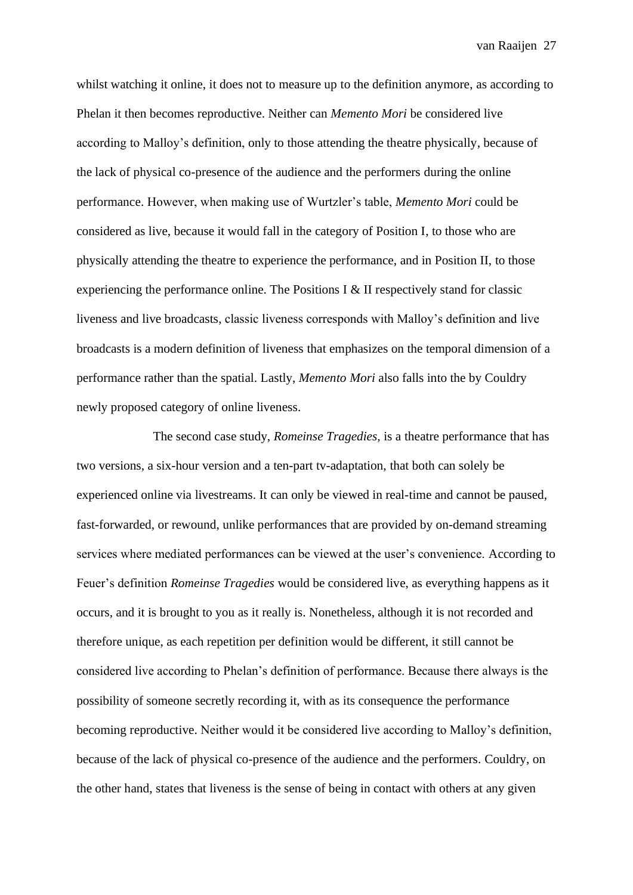whilst watching it online, it does not to measure up to the definition anymore, as according to Phelan it then becomes reproductive. Neither can *Memento Mori* be considered live according to Malloy's definition, only to those attending the theatre physically, because of the lack of physical co-presence of the audience and the performers during the online performance. However, when making use of Wurtzler's table, *Memento Mori* could be considered as live, because it would fall in the category of Position I, to those who are physically attending the theatre to experience the performance, and in Position II, to those experiencing the performance online. The Positions I & II respectively stand for classic liveness and live broadcasts, classic liveness corresponds with Malloy's definition and live broadcasts is a modern definition of liveness that emphasizes on the temporal dimension of a performance rather than the spatial. Lastly, *Memento Mori* also falls into the by Couldry newly proposed category of online liveness.

The second case study, *Romeinse Tragedies,* is a theatre performance that has two versions, a six-hour version and a ten-part tv-adaptation, that both can solely be experienced online via livestreams. It can only be viewed in real-time and cannot be paused, fast-forwarded, or rewound, unlike performances that are provided by on-demand streaming services where mediated performances can be viewed at the user's convenience. According to Feuer's definition *Romeinse Tragedies* would be considered live, as everything happens as it occurs, and it is brought to you as it really is. Nonetheless, although it is not recorded and therefore unique, as each repetition per definition would be different, it still cannot be considered live according to Phelan's definition of performance. Because there always is the possibility of someone secretly recording it, with as its consequence the performance becoming reproductive. Neither would it be considered live according to Malloy's definition, because of the lack of physical co-presence of the audience and the performers. Couldry, on the other hand, states that liveness is the sense of being in contact with others at any given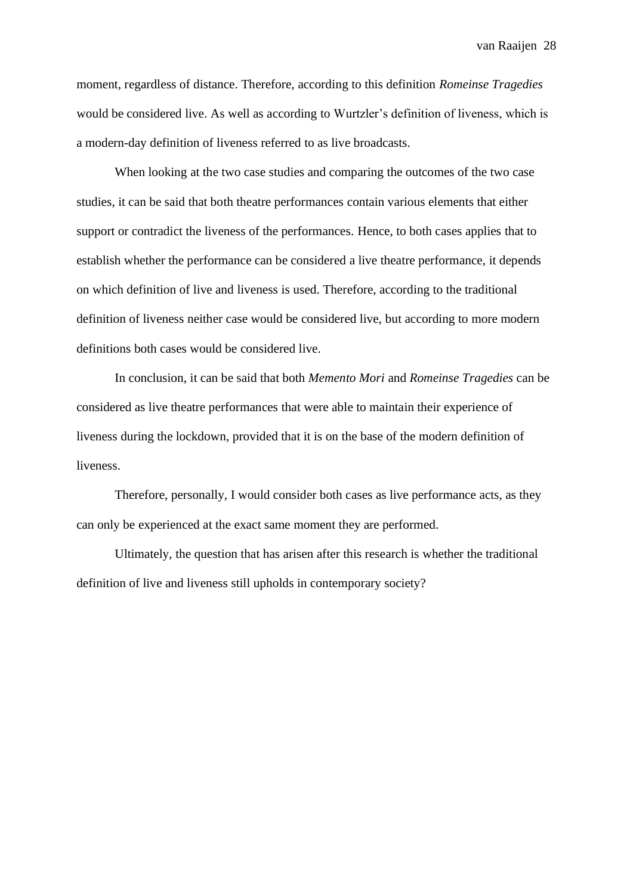moment, regardless of distance. Therefore, according to this definition *Romeinse Tragedies*  would be considered live. As well as according to Wurtzler's definition of liveness, which is a modern-day definition of liveness referred to as live broadcasts.

When looking at the two case studies and comparing the outcomes of the two case studies, it can be said that both theatre performances contain various elements that either support or contradict the liveness of the performances. Hence, to both cases applies that to establish whether the performance can be considered a live theatre performance, it depends on which definition of live and liveness is used. Therefore, according to the traditional definition of liveness neither case would be considered live, but according to more modern definitions both cases would be considered live.

In conclusion, it can be said that both *Memento Mori* and *Romeinse Tragedies* can be considered as live theatre performances that were able to maintain their experience of liveness during the lockdown, provided that it is on the base of the modern definition of liveness.

<span id="page-27-0"></span>Therefore, personally, I would consider both cases as live performance acts, as they can only be experienced at the exact same moment they are performed.

Ultimately, the question that has arisen after this research is whether the traditional definition of live and liveness still upholds in contemporary society?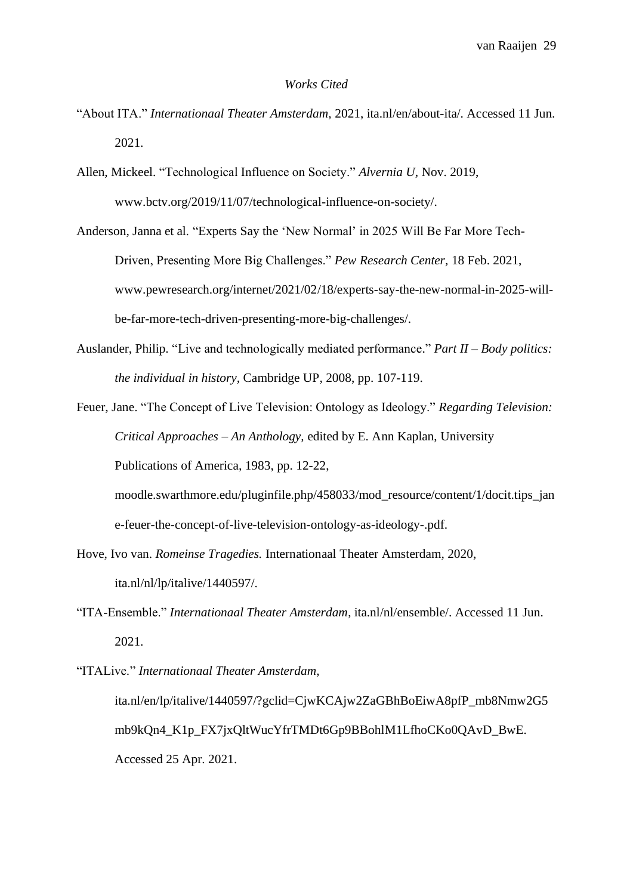#### *Works Cited*

- "About ITA." *Internationaal Theater Amsterdam,* 2021, ita.nl/en/about-ita/. Accessed 11 Jun. 2021.
- Allen, Mickeel. "Technological Influence on Society." *Alvernia U,* Nov. 2019, www.bctv.org/2019/11/07/technological-influence-on-society/.
- Anderson, Janna et al. "Experts Say the 'New Normal' in 2025 Will Be Far More Tech-Driven, Presenting More Big Challenges." *Pew Research Center,* 18 Feb. 2021, www.pewresearch.org/internet/2021/02/18/experts-say-the-new-normal-in-2025-willbe-far-more-tech-driven-presenting-more-big-challenges/.
- Auslander, Philip. "Live and technologically mediated performance." *Part II – Body politics: the individual in history,* Cambridge UP*,* 2008, pp. 107-119.
- Feuer, Jane. "The Concept of Live Television: Ontology as Ideology." *Regarding Television: Critical Approaches – An Anthology,* edited by E. Ann Kaplan, University Publications of America*,* 1983, pp. 12-22,
	- moodle.swarthmore.edu/pluginfile.php/458033/mod\_resource/content/1/docit.tips\_ian e-feuer-the-concept-of-live-television-ontology-as-ideology-.pdf.
- Hove, Ivo van. *Romeinse Tragedies.* Internationaal Theater Amsterdam*,* 2020, ita.nl/nl/lp/italive/1440597/.
- "ITA-Ensemble." *Internationaal Theater Amsterdam*, ita.nl/nl/ensemble/. Accessed 11 Jun. 2021.
- "ITALive." *Internationaal Theater Amsterdam,*  ita.nl/en/lp/italive/1440597/?gclid=CjwKCAjw2ZaGBhBoEiwA8pfP\_mb8Nmw2G5 mb9kQn4\_K1p\_FX7jxQltWucYfrTMDt6Gp9BBohlM1LfhoCKo0QAvD\_BwE*.*  Accessed 25 Apr. 2021.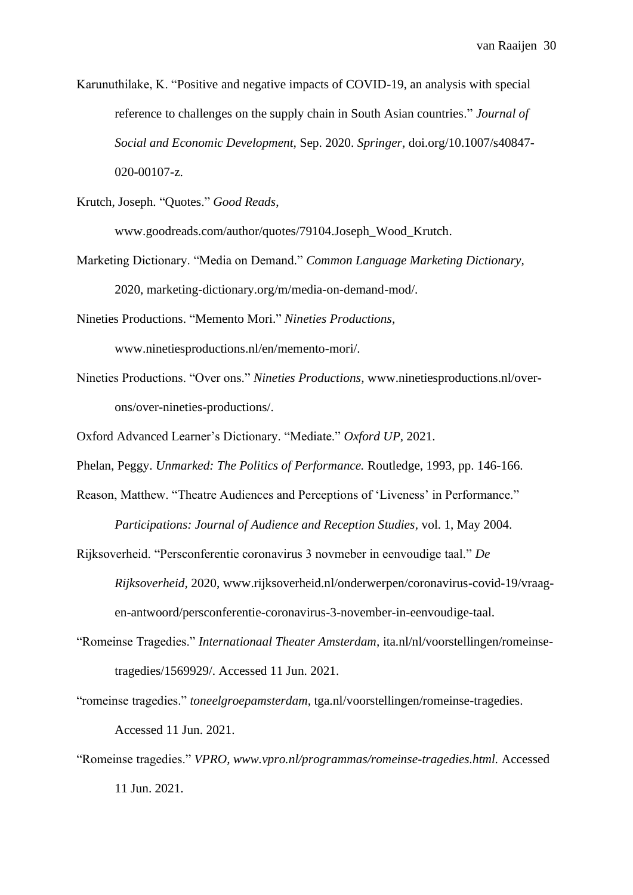Karunuthilake, K. "Positive and negative impacts of COVID-19, an analysis with special reference to challenges on the supply chain in South Asian countries." *Journal of Social and Economic Development,* Sep. 2020. *Springer,* doi.org/10.1007/s40847- 020-00107-z.

Krutch, Joseph. "Quotes." *Good Reads*,

www.goodreads.com/author/quotes/79104.Joseph\_Wood\_Krutch.

Marketing Dictionary. "Media on Demand." *Common Language Marketing Dictionary,*  2020, marketing-dictionary.org/m/media-on-demand-mod/.

Nineties Productions. "Memento Mori." *Nineties Productions,* www.ninetiesproductions.nl/en/memento-mori/.

Nineties Productions. "Over ons." *Nineties Productions,* www.ninetiesproductions.nl/overons/over-nineties-productions/.

Oxford Advanced Learner's Dictionary. "Mediate." *Oxford UP,* 2021.

Phelan, Peggy. *Unmarked: The Politics of Performance.* Routledge, 1993, pp. 146-166.

- Reason, Matthew. "Theatre Audiences and Perceptions of 'Liveness' in Performance." *Participations: Journal of Audience and Reception Studies,* vol. 1, May 2004.
- Rijksoverheid. "Persconferentie coronavirus 3 novmeber in eenvoudige taal." *De Rijksoverheid,* 2020, www.rijksoverheid.nl/onderwerpen/coronavirus-covid-19/vraagen-antwoord/persconferentie-coronavirus-3-november-in-eenvoudige-taal.
- "Romeinse Tragedies." *Internationaal Theater Amsterdam,* ita.nl/nl/voorstellingen/romeinsetragedies/1569929/. Accessed 11 Jun. 2021.

"romeinse tragedies." *toneelgroepamsterdam,* tga.nl/voorstellingen/romeinse-tragedies. Accessed 11 Jun. 2021.

"Romeinse tragedies." *VPRO, www.vpro.nl/programmas/romeinse-tragedies.html.* Accessed 11 Jun. 2021.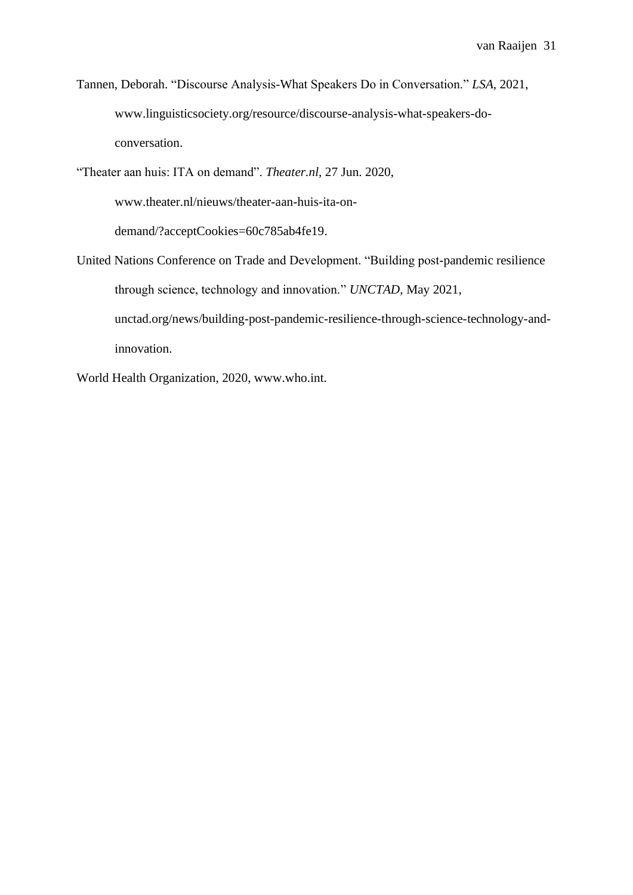Tannen, Deborah. "Discourse Analysis-What Speakers Do in Conversation." *LSA,* 2021, www.linguisticsociety.org/resource/discourse-analysis-what-speakers-doconversation.

"Theater aan huis: ITA on demand". *Theater.nl,* 27 Jun. 2020,

www.theater.nl/nieuws/theater-aan-huis-ita-on-

demand/?acceptCookies=60c785ab4fe19.

United Nations Conference on Trade and Development. "Building post-pandemic resilience through science, technology and innovation." *UNCTAD,* May 2021, unctad.org/news/building-post-pandemic-resilience-through-science-technology-andinnovation.

<span id="page-30-0"></span>World Health Organization, 2020, www.who.int.